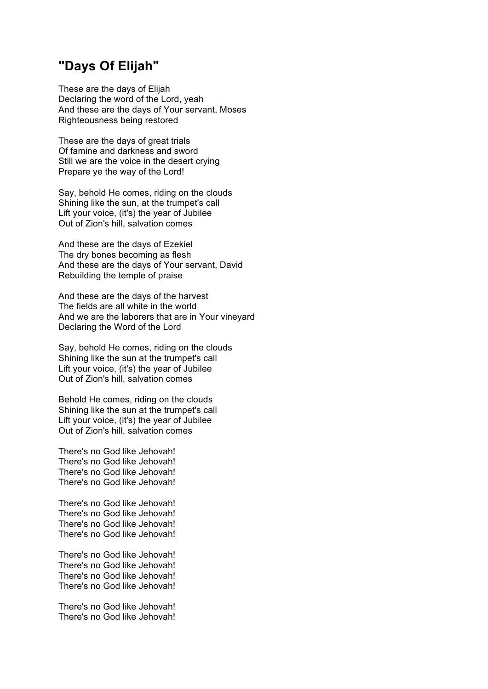## **"Days Of Elijah"**

These are the days of Elijah Declaring the word of the Lord, yeah And these are the days of Your servant, Moses Righteousness being restored

These are the days of great trials Of famine and darkness and sword Still we are the voice in the desert crying Prepare ye the way of the Lord!

Say, behold He comes, riding on the clouds Shining like the sun, at the trumpet's call Lift your voice, (it's) the year of Jubilee Out of Zion's hill, salvation comes

And these are the days of Ezekiel The dry bones becoming as flesh And these are the days of Your servant, David Rebuilding the temple of praise

And these are the days of the harvest The fields are all white in the world And we are the laborers that are in Your vineyard Declaring the Word of the Lord

Say, behold He comes, riding on the clouds Shining like the sun at the trumpet's call Lift your voice, (it's) the year of Jubilee Out of Zion's hill, salvation comes

Behold He comes, riding on the clouds Shining like the sun at the trumpet's call Lift your voice, (it's) the year of Jubilee Out of Zion's hill, salvation comes

There's no God like Jehovah! There's no God like Jehovah! There's no God like Jehovah! There's no God like Jehovah!

There's no God like Jehovah! There's no God like Jehovah! There's no God like Jehovah! There's no God like Jehovah!

There's no God like Jehovah! There's no God like Jehovah! There's no God like Jehovah! There's no God like Jehovah!

There's no God like Jehovah! There's no God like Jehovah!